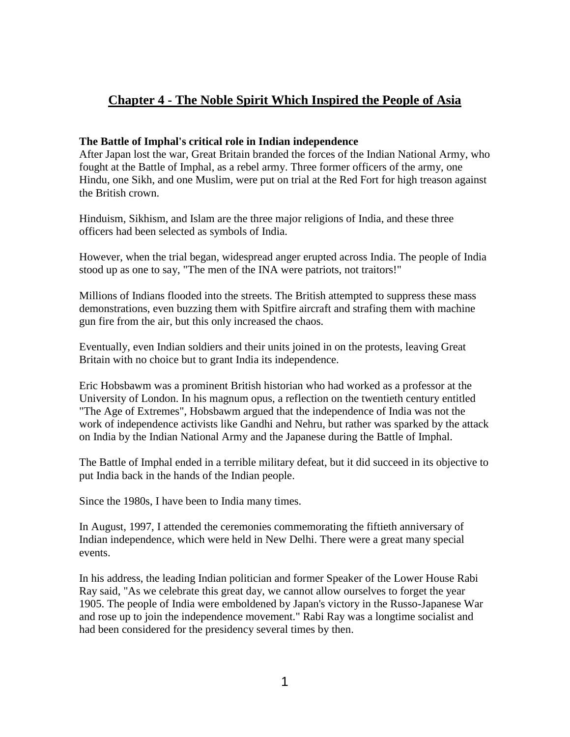# **Chapter 4 - The Noble Spirit Which Inspired the People of Asia**

# **The Battle of Imphal's critical role in Indian independence**

After Japan lost the war, Great Britain branded the forces of the Indian National Army, who fought at the Battle of Imphal, as a rebel army. Three former officers of the army, one Hindu, one Sikh, and one Muslim, were put on trial at the Red Fort for high treason against the British crown.

Hinduism, Sikhism, and Islam are the three major religions of India, and these three officers had been selected as symbols of India.

However, when the trial began, widespread anger erupted across India. The people of India stood up as one to say, "The men of the INA were patriots, not traitors!"

Millions of Indians flooded into the streets. The British attempted to suppress these mass demonstrations, even buzzing them with Spitfire aircraft and strafing them with machine gun fire from the air, but this only increased the chaos.

Eventually, even Indian soldiers and their units joined in on the protests, leaving Great Britain with no choice but to grant India its independence.

Eric Hobsbawm was a prominent British historian who had worked as a professor at the University of London. In his magnum opus, a reflection on the twentieth century entitled "The Age of Extremes", Hobsbawm argued that the independence of India was not the work of independence activists like Gandhi and Nehru, but rather was sparked by the attack on India by the Indian National Army and the Japanese during the Battle of Imphal.

The Battle of Imphal ended in a terrible military defeat, but it did succeed in its objective to put India back in the hands of the Indian people.

Since the 1980s, I have been to India many times.

In August, 1997, I attended the ceremonies commemorating the fiftieth anniversary of Indian independence, which were held in New Delhi. There were a great many special events.

In his address, the leading Indian politician and former Speaker of the Lower House Rabi Ray said, "As we celebrate this great day, we cannot allow ourselves to forget the year 1905. The people of India were emboldened by Japan's victory in the Russo-Japanese War and rose up to join the independence movement." Rabi Ray was a longtime socialist and had been considered for the presidency several times by then.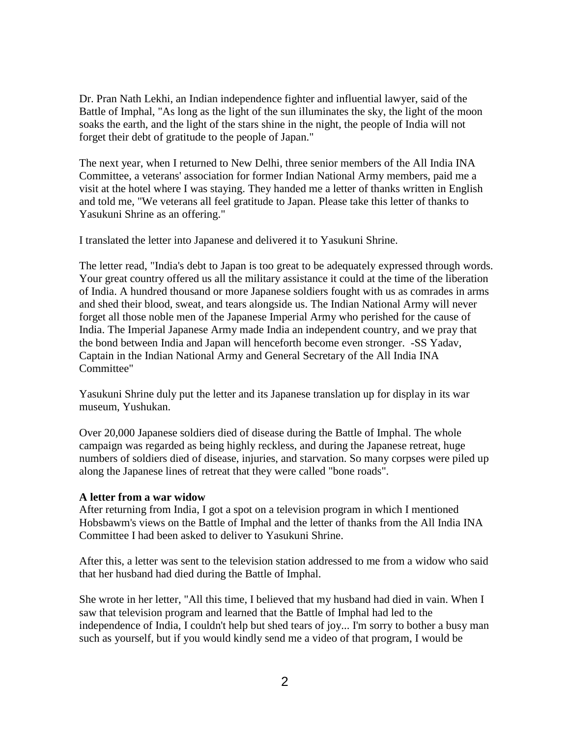Dr. Pran Nath Lekhi, an Indian independence fighter and influential lawyer, said of the Battle of Imphal, "As long as the light of the sun illuminates the sky, the light of the moon soaks the earth, and the light of the stars shine in the night, the people of India will not forget their debt of gratitude to the people of Japan."

The next year, when I returned to New Delhi, three senior members of the All India INA Committee, a veterans' association for former Indian National Army members, paid me a visit at the hotel where I was staying. They handed me a letter of thanks written in English and told me, "We veterans all feel gratitude to Japan. Please take this letter of thanks to Yasukuni Shrine as an offering."

I translated the letter into Japanese and delivered it to Yasukuni Shrine.

The letter read, "India's debt to Japan is too great to be adequately expressed through words. Your great country offered us all the military assistance it could at the time of the liberation of India. A hundred thousand or more Japanese soldiers fought with us as comrades in arms and shed their blood, sweat, and tears alongside us. The Indian National Army will never forget all those noble men of the Japanese Imperial Army who perished for the cause of India. The Imperial Japanese Army made India an independent country, and we pray that the bond between India and Japan will henceforth become even stronger. -SS Yadav, Captain in the Indian National Army and General Secretary of the All India INA Committee"

Yasukuni Shrine duly put the letter and its Japanese translation up for display in its war museum, Yushukan.

Over 20,000 Japanese soldiers died of disease during the Battle of Imphal. The whole campaign was regarded as being highly reckless, and during the Japanese retreat, huge numbers of soldiers died of disease, injuries, and starvation. So many corpses were piled up along the Japanese lines of retreat that they were called "bone roads".

## **A letter from a war widow**

After returning from India, I got a spot on a television program in which I mentioned Hobsbawm's views on the Battle of Imphal and the letter of thanks from the All India INA Committee I had been asked to deliver to Yasukuni Shrine.

After this, a letter was sent to the television station addressed to me from a widow who said that her husband had died during the Battle of Imphal.

She wrote in her letter, "All this time, I believed that my husband had died in vain. When I saw that television program and learned that the Battle of Imphal had led to the independence of India, I couldn't help but shed tears of joy... I'm sorry to bother a busy man such as yourself, but if you would kindly send me a video of that program, I would be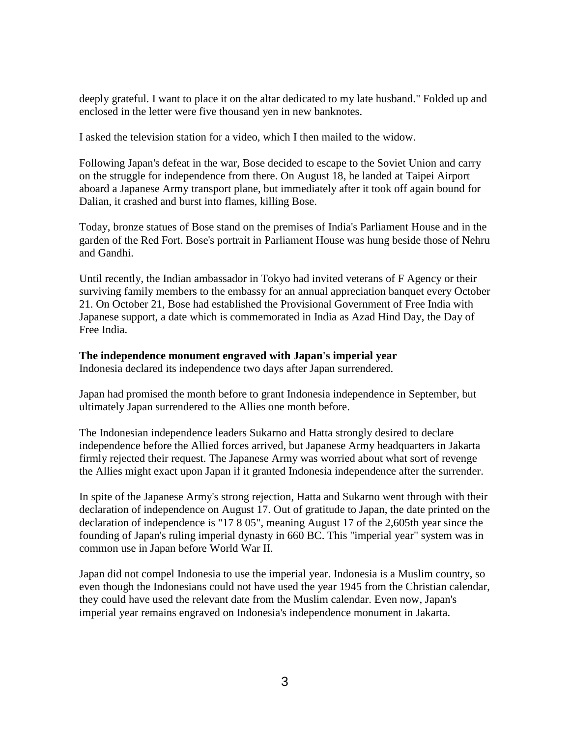deeply grateful. I want to place it on the altar dedicated to my late husband." Folded up and enclosed in the letter were five thousand yen in new banknotes.

I asked the television station for a video, which I then mailed to the widow.

Following Japan's defeat in the war, Bose decided to escape to the Soviet Union and carry on the struggle for independence from there. On August 18, he landed at Taipei Airport aboard a Japanese Army transport plane, but immediately after it took off again bound for Dalian, it crashed and burst into flames, killing Bose.

Today, bronze statues of Bose stand on the premises of India's Parliament House and in the garden of the Red Fort. Bose's portrait in Parliament House was hung beside those of Nehru and Gandhi.

Until recently, the Indian ambassador in Tokyo had invited veterans of F Agency or their surviving family members to the embassy for an annual appreciation banquet every October 21. On October 21, Bose had established the Provisional Government of Free India with Japanese support, a date which is commemorated in India as Azad Hind Day, the Day of Free India.

## **The independence monument engraved with Japan's imperial year**

Indonesia declared its independence two days after Japan surrendered.

Japan had promised the month before to grant Indonesia independence in September, but ultimately Japan surrendered to the Allies one month before.

The Indonesian independence leaders Sukarno and Hatta strongly desired to declare independence before the Allied forces arrived, but Japanese Army headquarters in Jakarta firmly rejected their request. The Japanese Army was worried about what sort of revenge the Allies might exact upon Japan if it granted Indonesia independence after the surrender.

In spite of the Japanese Army's strong rejection, Hatta and Sukarno went through with their declaration of independence on August 17. Out of gratitude to Japan, the date printed on the declaration of independence is "17 8 05", meaning August 17 of the 2,605th year since the founding of Japan's ruling imperial dynasty in 660 BC. This "imperial year" system was in common use in Japan before World War II.

Japan did not compel Indonesia to use the imperial year. Indonesia is a Muslim country, so even though the Indonesians could not have used the year 1945 from the Christian calendar, they could have used the relevant date from the Muslim calendar. Even now, Japan's imperial year remains engraved on Indonesia's independence monument in Jakarta.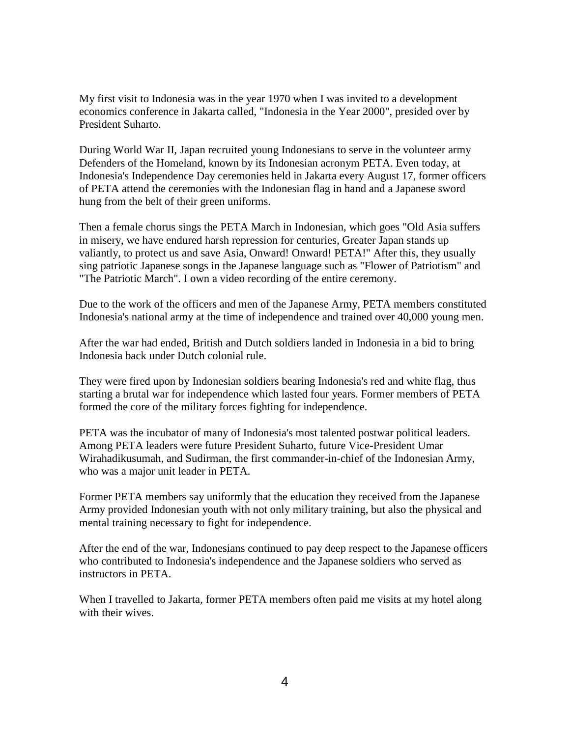My first visit to Indonesia was in the year 1970 when I was invited to a development economics conference in Jakarta called, "Indonesia in the Year 2000", presided over by President Suharto.

During World War II, Japan recruited young Indonesians to serve in the volunteer army Defenders of the Homeland, known by its Indonesian acronym PETA. Even today, at Indonesia's Independence Day ceremonies held in Jakarta every August 17, former officers of PETA attend the ceremonies with the Indonesian flag in hand and a Japanese sword hung from the belt of their green uniforms.

Then a female chorus sings the PETA March in Indonesian, which goes "Old Asia suffers in misery, we have endured harsh repression for centuries, Greater Japan stands up valiantly, to protect us and save Asia, Onward! Onward! PETA!" After this, they usually sing patriotic Japanese songs in the Japanese language such as "Flower of Patriotism" and "The Patriotic March". I own a video recording of the entire ceremony.

Due to the work of the officers and men of the Japanese Army, PETA members constituted Indonesia's national army at the time of independence and trained over 40,000 young men.

After the war had ended, British and Dutch soldiers landed in Indonesia in a bid to bring Indonesia back under Dutch colonial rule.

They were fired upon by Indonesian soldiers bearing Indonesia's red and white flag, thus starting a brutal war for independence which lasted four years. Former members of PETA formed the core of the military forces fighting for independence.

PETA was the incubator of many of Indonesia's most talented postwar political leaders. Among PETA leaders were future President Suharto, future Vice-President Umar Wirahadikusumah, and Sudirman, the first commander-in-chief of the Indonesian Army, who was a major unit leader in PETA.

Former PETA members say uniformly that the education they received from the Japanese Army provided Indonesian youth with not only military training, but also the physical and mental training necessary to fight for independence.

After the end of the war, Indonesians continued to pay deep respect to the Japanese officers who contributed to Indonesia's independence and the Japanese soldiers who served as instructors in PETA.

When I travelled to Jakarta, former PETA members often paid me visits at my hotel along with their wives.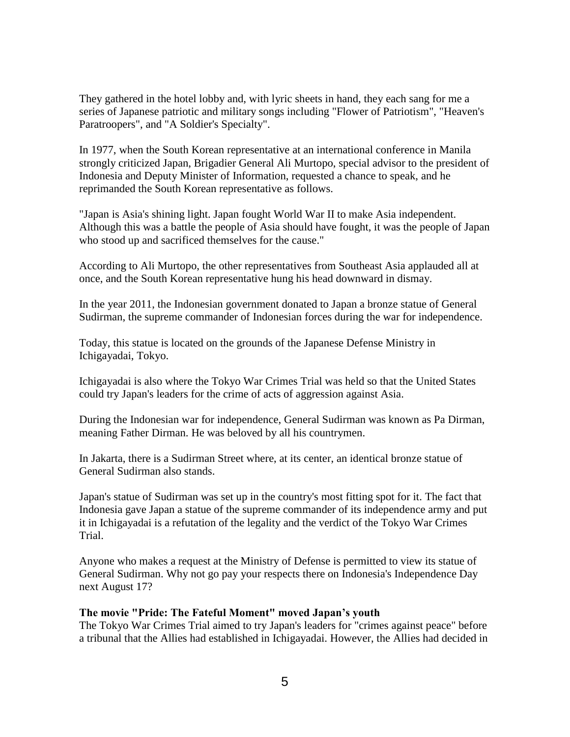They gathered in the hotel lobby and, with lyric sheets in hand, they each sang for me a series of Japanese patriotic and military songs including "Flower of Patriotism", "Heaven's Paratroopers", and "A Soldier's Specialty".

In 1977, when the South Korean representative at an international conference in Manila strongly criticized Japan, Brigadier General Ali Murtopo, special advisor to the president of Indonesia and Deputy Minister of Information, requested a chance to speak, and he reprimanded the South Korean representative as follows.

"Japan is Asia's shining light. Japan fought World War II to make Asia independent. Although this was a battle the people of Asia should have fought, it was the people of Japan who stood up and sacrificed themselves for the cause."

According to Ali Murtopo, the other representatives from Southeast Asia applauded all at once, and the South Korean representative hung his head downward in dismay.

In the year 2011, the Indonesian government donated to Japan a bronze statue of General Sudirman, the supreme commander of Indonesian forces during the war for independence.

Today, this statue is located on the grounds of the Japanese Defense Ministry in Ichigayadai, Tokyo.

Ichigayadai is also where the Tokyo War Crimes Trial was held so that the United States could try Japan's leaders for the crime of acts of aggression against Asia.

During the Indonesian war for independence, General Sudirman was known as Pa Dirman, meaning Father Dirman. He was beloved by all his countrymen.

In Jakarta, there is a Sudirman Street where, at its center, an identical bronze statue of General Sudirman also stands.

Japan's statue of Sudirman was set up in the country's most fitting spot for it. The fact that Indonesia gave Japan a statue of the supreme commander of its independence army and put it in Ichigayadai is a refutation of the legality and the verdict of the Tokyo War Crimes Trial.

Anyone who makes a request at the Ministry of Defense is permitted to view its statue of General Sudirman. Why not go pay your respects there on Indonesia's Independence Day next August 17?

#### **The movie "Pride: The Fateful Moment" moved Japan's youth**

The Tokyo War Crimes Trial aimed to try Japan's leaders for "crimes against peace" before a tribunal that the Allies had established in Ichigayadai. However, the Allies had decided in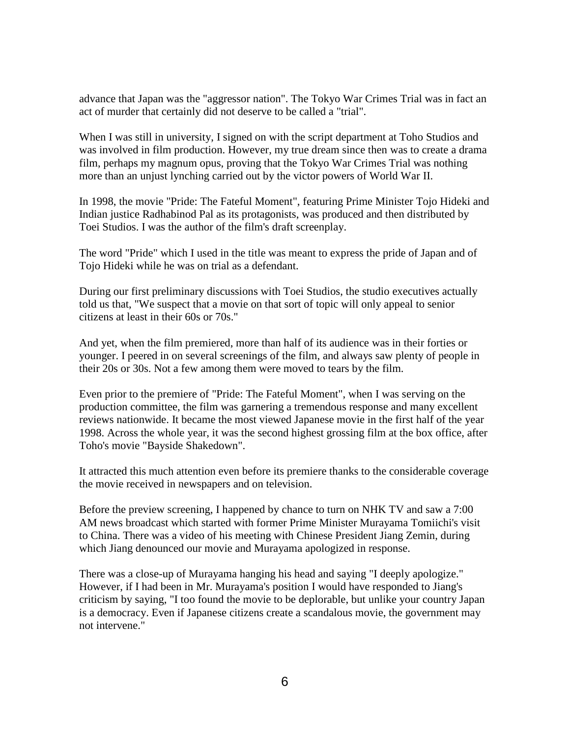advance that Japan was the "aggressor nation". The Tokyo War Crimes Trial was in fact an act of murder that certainly did not deserve to be called a "trial".

When I was still in university, I signed on with the script department at Toho Studios and was involved in film production. However, my true dream since then was to create a drama film, perhaps my magnum opus, proving that the Tokyo War Crimes Trial was nothing more than an unjust lynching carried out by the victor powers of World War II.

In 1998, the movie "Pride: The Fateful Moment", featuring Prime Minister Tojo Hideki and Indian justice Radhabinod Pal as its protagonists, was produced and then distributed by Toei Studios. I was the author of the film's draft screenplay.

The word "Pride" which I used in the title was meant to express the pride of Japan and of Tojo Hideki while he was on trial as a defendant.

During our first preliminary discussions with Toei Studios, the studio executives actually told us that, "We suspect that a movie on that sort of topic will only appeal to senior citizens at least in their 60s or 70s."

And yet, when the film premiered, more than half of its audience was in their forties or younger. I peered in on several screenings of the film, and always saw plenty of people in their 20s or 30s. Not a few among them were moved to tears by the film.

Even prior to the premiere of "Pride: The Fateful Moment", when I was serving on the production committee, the film was garnering a tremendous response and many excellent reviews nationwide. It became the most viewed Japanese movie in the first half of the year 1998. Across the whole year, it was the second highest grossing film at the box office, after Toho's movie "Bayside Shakedown".

It attracted this much attention even before its premiere thanks to the considerable coverage the movie received in newspapers and on television.

Before the preview screening, I happened by chance to turn on NHK TV and saw a 7:00 AM news broadcast which started with former Prime Minister Murayama Tomiichi's visit to China. There was a video of his meeting with Chinese President Jiang Zemin, during which Jiang denounced our movie and Murayama apologized in response.

There was a close-up of Murayama hanging his head and saying "I deeply apologize." However, if I had been in Mr. Murayama's position I would have responded to Jiang's criticism by saying, "I too found the movie to be deplorable, but unlike your country Japan is a democracy. Even if Japanese citizens create a scandalous movie, the government may not intervene."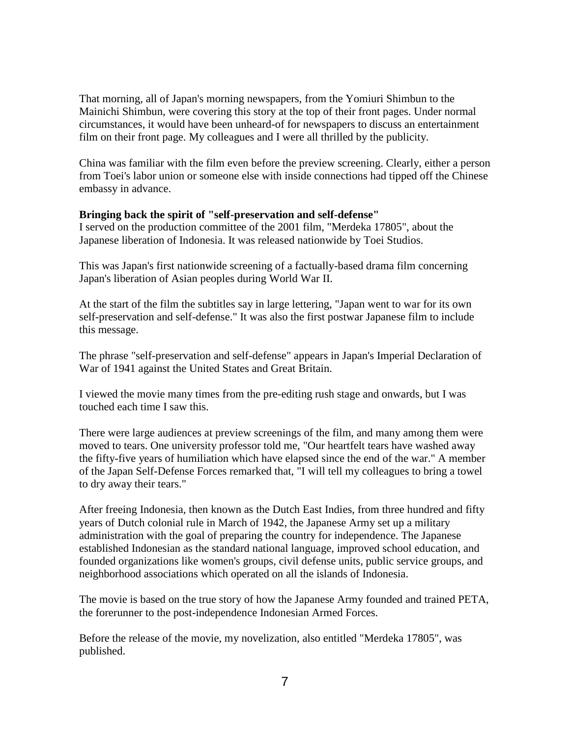That morning, all of Japan's morning newspapers, from the Yomiuri Shimbun to the Mainichi Shimbun, were covering this story at the top of their front pages. Under normal circumstances, it would have been unheard-of for newspapers to discuss an entertainment film on their front page. My colleagues and I were all thrilled by the publicity.

China was familiar with the film even before the preview screening. Clearly, either a person from Toei's labor union or someone else with inside connections had tipped off the Chinese embassy in advance.

## **Bringing back the spirit of "self-preservation and self-defense"**

I served on the production committee of the 2001 film, "Merdeka 17805", about the Japanese liberation of Indonesia. It was released nationwide by Toei Studios.

This was Japan's first nationwide screening of a factually-based drama film concerning Japan's liberation of Asian peoples during World War II.

At the start of the film the subtitles say in large lettering, "Japan went to war for its own self-preservation and self-defense." It was also the first postwar Japanese film to include this message.

The phrase "self-preservation and self-defense" appears in Japan's Imperial Declaration of War of 1941 against the United States and Great Britain.

I viewed the movie many times from the pre-editing rush stage and onwards, but I was touched each time I saw this.

There were large audiences at preview screenings of the film, and many among them were moved to tears. One university professor told me, "Our heartfelt tears have washed away the fifty-five years of humiliation which have elapsed since the end of the war." A member of the Japan Self-Defense Forces remarked that, "I will tell my colleagues to bring a towel to dry away their tears."

After freeing Indonesia, then known as the Dutch East Indies, from three hundred and fifty years of Dutch colonial rule in March of 1942, the Japanese Army set up a military administration with the goal of preparing the country for independence. The Japanese established Indonesian as the standard national language, improved school education, and founded organizations like women's groups, civil defense units, public service groups, and neighborhood associations which operated on all the islands of Indonesia.

The movie is based on the true story of how the Japanese Army founded and trained PETA, the forerunner to the post-independence Indonesian Armed Forces.

Before the release of the movie, my novelization, also entitled "Merdeka 17805", was published.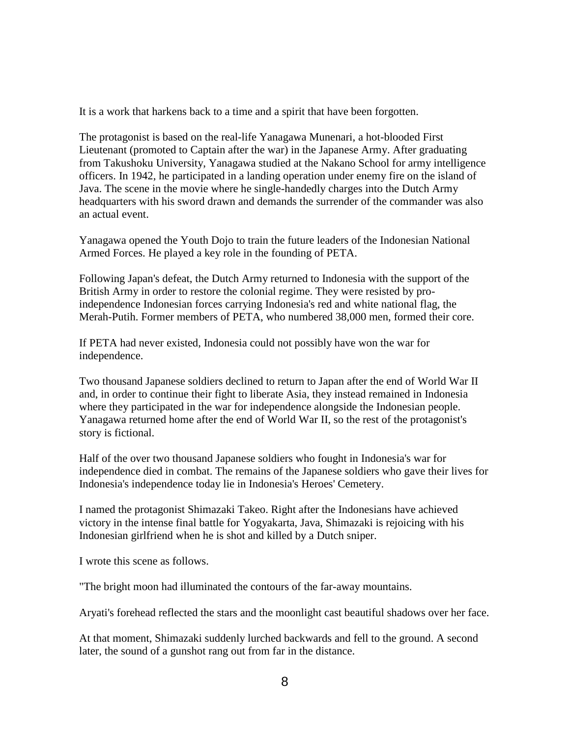It is a work that harkens back to a time and a spirit that have been forgotten.

The protagonist is based on the real-life Yanagawa Munenari, a hot-blooded First Lieutenant (promoted to Captain after the war) in the Japanese Army. After graduating from Takushoku University, Yanagawa studied at the Nakano School for army intelligence officers. In 1942, he participated in a landing operation under enemy fire on the island of Java. The scene in the movie where he single-handedly charges into the Dutch Army headquarters with his sword drawn and demands the surrender of the commander was also an actual event.

Yanagawa opened the Youth Dojo to train the future leaders of the Indonesian National Armed Forces. He played a key role in the founding of PETA.

Following Japan's defeat, the Dutch Army returned to Indonesia with the support of the British Army in order to restore the colonial regime. They were resisted by proindependence Indonesian forces carrying Indonesia's red and white national flag, the Merah-Putih. Former members of PETA, who numbered 38,000 men, formed their core.

If PETA had never existed, Indonesia could not possibly have won the war for independence.

Two thousand Japanese soldiers declined to return to Japan after the end of World War II and, in order to continue their fight to liberate Asia, they instead remained in Indonesia where they participated in the war for independence alongside the Indonesian people. Yanagawa returned home after the end of World War II, so the rest of the protagonist's story is fictional.

Half of the over two thousand Japanese soldiers who fought in Indonesia's war for independence died in combat. The remains of the Japanese soldiers who gave their lives for Indonesia's independence today lie in Indonesia's Heroes' Cemetery.

I named the protagonist Shimazaki Takeo. Right after the Indonesians have achieved victory in the intense final battle for Yogyakarta, Java, Shimazaki is rejoicing with his Indonesian girlfriend when he is shot and killed by a Dutch sniper.

I wrote this scene as follows.

"The bright moon had illuminated the contours of the far-away mountains.

Aryati's forehead reflected the stars and the moonlight cast beautiful shadows over her face.

At that moment, Shimazaki suddenly lurched backwards and fell to the ground. A second later, the sound of a gunshot rang out from far in the distance.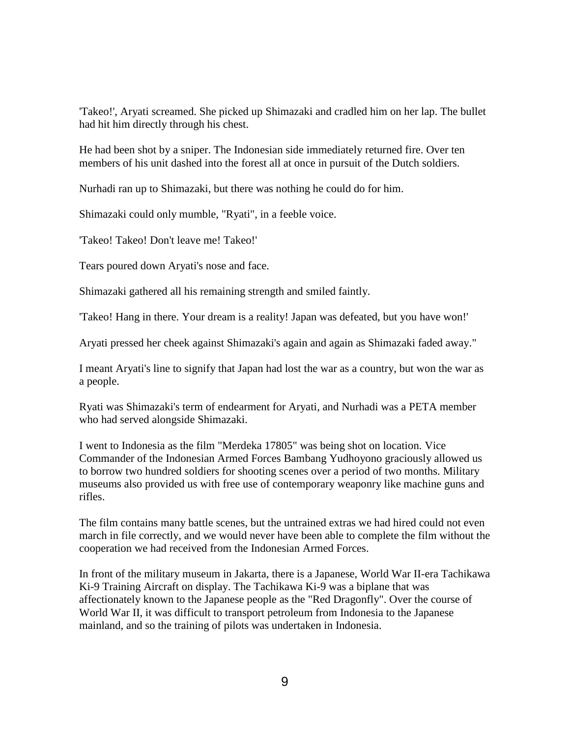'Takeo!', Aryati screamed. She picked up Shimazaki and cradled him on her lap. The bullet had hit him directly through his chest.

He had been shot by a sniper. The Indonesian side immediately returned fire. Over ten members of his unit dashed into the forest all at once in pursuit of the Dutch soldiers.

Nurhadi ran up to Shimazaki, but there was nothing he could do for him.

Shimazaki could only mumble, "Ryati", in a feeble voice.

'Takeo! Takeo! Don't leave me! Takeo!'

Tears poured down Aryati's nose and face.

Shimazaki gathered all his remaining strength and smiled faintly.

'Takeo! Hang in there. Your dream is a reality! Japan was defeated, but you have won!'

Aryati pressed her cheek against Shimazaki's again and again as Shimazaki faded away."

I meant Aryati's line to signify that Japan had lost the war as a country, but won the war as a people.

Ryati was Shimazaki's term of endearment for Aryati, and Nurhadi was a PETA member who had served alongside Shimazaki.

I went to Indonesia as the film "Merdeka 17805" was being shot on location. Vice Commander of the Indonesian Armed Forces Bambang Yudhoyono graciously allowed us to borrow two hundred soldiers for shooting scenes over a period of two months. Military museums also provided us with free use of contemporary weaponry like machine guns and rifles.

The film contains many battle scenes, but the untrained extras we had hired could not even march in file correctly, and we would never have been able to complete the film without the cooperation we had received from the Indonesian Armed Forces.

In front of the military museum in Jakarta, there is a Japanese, World War II-era Tachikawa Ki-9 Training Aircraft on display. The Tachikawa Ki-9 was a biplane that was affectionately known to the Japanese people as the "Red Dragonfly". Over the course of World War II, it was difficult to transport petroleum from Indonesia to the Japanese mainland, and so the training of pilots was undertaken in Indonesia.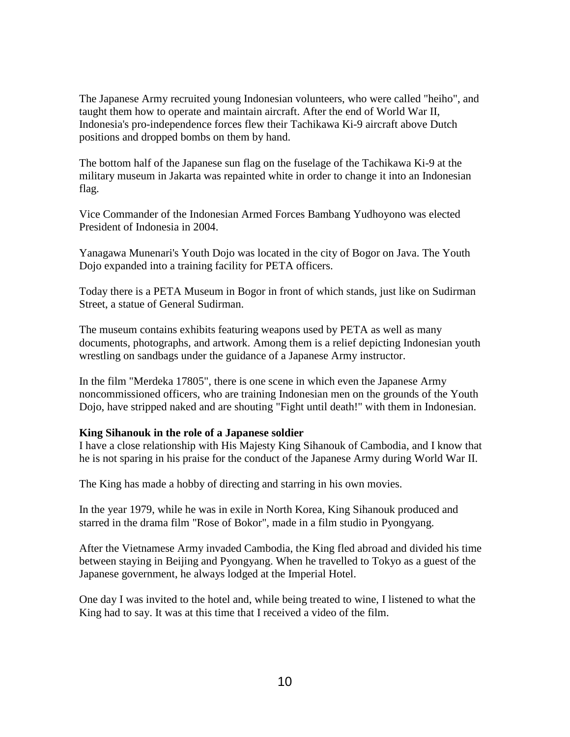The Japanese Army recruited young Indonesian volunteers, who were called "heiho", and taught them how to operate and maintain aircraft. After the end of World War II, Indonesia's pro-independence forces flew their Tachikawa Ki-9 aircraft above Dutch positions and dropped bombs on them by hand.

The bottom half of the Japanese sun flag on the fuselage of the Tachikawa Ki-9 at the military museum in Jakarta was repainted white in order to change it into an Indonesian flag.

Vice Commander of the Indonesian Armed Forces Bambang Yudhoyono was elected President of Indonesia in 2004.

Yanagawa Munenari's Youth Dojo was located in the city of Bogor on Java. The Youth Dojo expanded into a training facility for PETA officers.

Today there is a PETA Museum in Bogor in front of which stands, just like on Sudirman Street, a statue of General Sudirman.

The museum contains exhibits featuring weapons used by PETA as well as many documents, photographs, and artwork. Among them is a relief depicting Indonesian youth wrestling on sandbags under the guidance of a Japanese Army instructor.

In the film "Merdeka 17805", there is one scene in which even the Japanese Army noncommissioned officers, who are training Indonesian men on the grounds of the Youth Dojo, have stripped naked and are shouting "Fight until death!" with them in Indonesian.

## **King Sihanouk in the role of a Japanese soldier**

I have a close relationship with His Majesty King Sihanouk of Cambodia, and I know that he is not sparing in his praise for the conduct of the Japanese Army during World War II.

The King has made a hobby of directing and starring in his own movies.

In the year 1979, while he was in exile in North Korea, King Sihanouk produced and starred in the drama film "Rose of Bokor", made in a film studio in Pyongyang.

After the Vietnamese Army invaded Cambodia, the King fled abroad and divided his time between staying in Beijing and Pyongyang. When he travelled to Tokyo as a guest of the Japanese government, he always lodged at the Imperial Hotel.

One day I was invited to the hotel and, while being treated to wine, I listened to what the King had to say. It was at this time that I received a video of the film.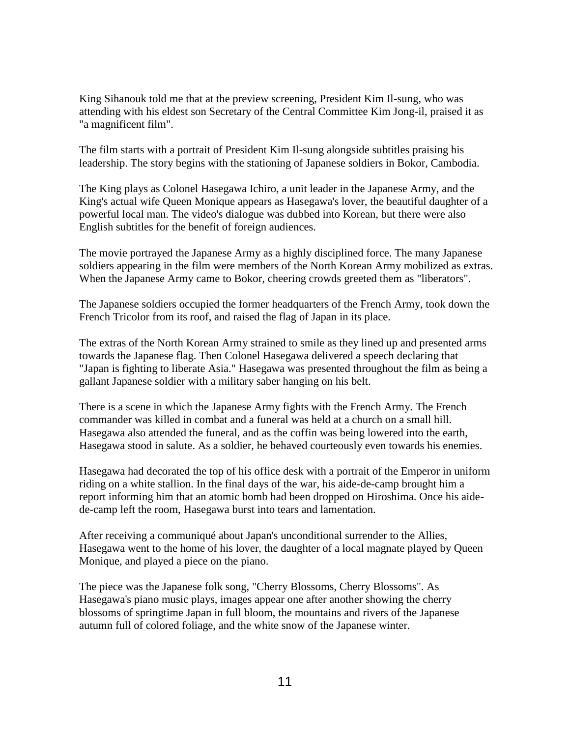King Sihanouk told me that at the preview screening, President Kim Il-sung, who was attending with his eldest son Secretary of the Central Committee Kim Jong-il, praised it as "a magnificent film".

The film starts with a portrait of President Kim Il-sung alongside subtitles praising his leadership. The story begins with the stationing of Japanese soldiers in Bokor, Cambodia.

The King plays as Colonel Hasegawa Ichiro, a unit leader in the Japanese Army, and the King's actual wife Queen Monique appears as Hasegawa's lover, the beautiful daughter of a powerful local man. The video's dialogue was dubbed into Korean, but there were also English subtitles for the benefit of foreign audiences.

The movie portrayed the Japanese Army as a highly disciplined force. The many Japanese soldiers appearing in the film were members of the North Korean Army mobilized as extras. When the Japanese Army came to Bokor, cheering crowds greeted them as "liberators".

The Japanese soldiers occupied the former headquarters of the French Army, took down the French Tricolor from its roof, and raised the flag of Japan in its place.

The extras of the North Korean Army strained to smile as they lined up and presented arms towards the Japanese flag. Then Colonel Hasegawa delivered a speech declaring that "Japan is fighting to liberate Asia." Hasegawa was presented throughout the film as being a gallant Japanese soldier with a military saber hanging on his belt.

There is a scene in which the Japanese Army fights with the French Army. The French commander was killed in combat and a funeral was held at a church on a small hill. Hasegawa also attended the funeral, and as the coffin was being lowered into the earth, Hasegawa stood in salute. As a soldier, he behaved courteously even towards his enemies.

Hasegawa had decorated the top of his office desk with a portrait of the Emperor in uniform riding on a white stallion. In the final days of the war, his aide-de-camp brought him a report informing him that an atomic bomb had been dropped on Hiroshima. Once his aidede-camp left the room, Hasegawa burst into tears and lamentation.

After receiving a communiqué about Japan's unconditional surrender to the Allies, Hasegawa went to the home of his lover, the daughter of a local magnate played by Queen Monique, and played a piece on the piano.

The piece was the Japanese folk song, "Cherry Blossoms, Cherry Blossoms". As Hasegawa's piano music plays, images appear one after another showing the cherry blossoms of springtime Japan in full bloom, the mountains and rivers of the Japanese autumn full of colored foliage, and the white snow of the Japanese winter.